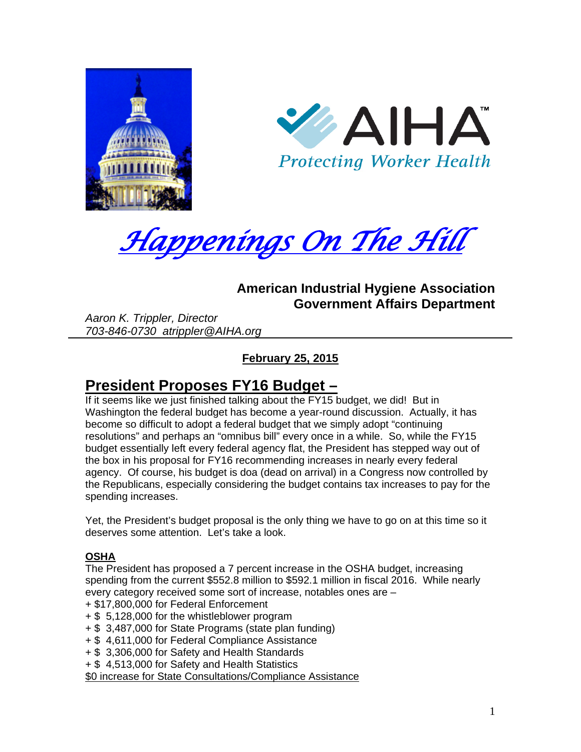





### **American Industrial Hygiene Association Government Affairs Department**

*Aaron K. Trippler, Director 703-846-0730 atrippler@AIHA.org* 

**February 25, 2015** 

## **President Proposes FY16 Budget –**

If it seems like we just finished talking about the FY15 budget, we did! But in Washington the federal budget has become a year-round discussion. Actually, it has become so difficult to adopt a federal budget that we simply adopt "continuing resolutions" and perhaps an "omnibus bill" every once in a while. So, while the FY15 budget essentially left every federal agency flat, the President has stepped way out of the box in his proposal for FY16 recommending increases in nearly every federal agency. Of course, his budget is doa (dead on arrival) in a Congress now controlled by the Republicans, especially considering the budget contains tax increases to pay for the spending increases.

Yet, the President's budget proposal is the only thing we have to go on at this time so it deserves some attention. Let's take a look.

### **OSHA**

The President has proposed a 7 percent increase in the OSHA budget, increasing spending from the current \$552.8 million to \$592.1 million in fiscal 2016. While nearly every category received some sort of increase, notables ones are –

- + \$17,800,000 for Federal Enforcement
- + \$ 5,128,000 for the whistleblower program
- + \$ 3,487,000 for State Programs (state plan funding)
- + \$ 4,611,000 for Federal Compliance Assistance
- + \$ 3,306,000 for Safety and Health Standards
- + \$ 4,513,000 for Safety and Health Statistics

\$0 increase for State Consultations/Compliance Assistance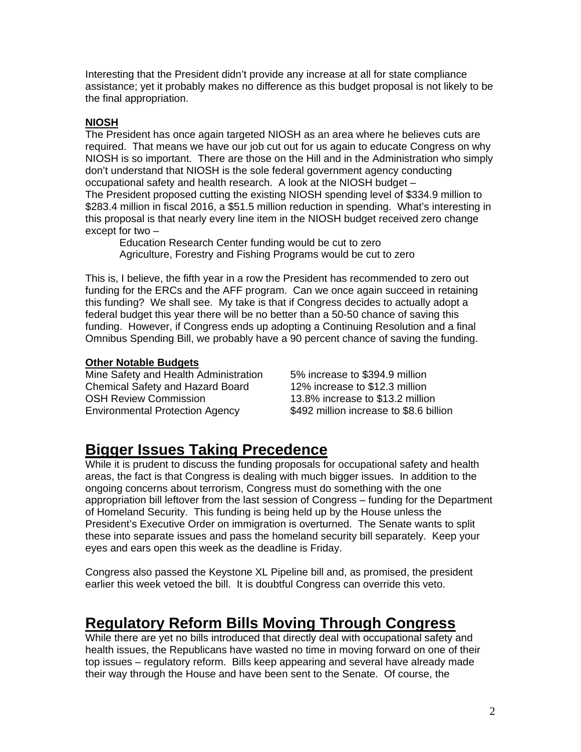Interesting that the President didn't provide any increase at all for state compliance assistance; yet it probably makes no difference as this budget proposal is not likely to be the final appropriation.

#### **NIOSH**

The President has once again targeted NIOSH as an area where he believes cuts are required. That means we have our job cut out for us again to educate Congress on why NIOSH is so important. There are those on the Hill and in the Administration who simply don't understand that NIOSH is the sole federal government agency conducting occupational safety and health research. A look at the NIOSH budget – The President proposed cutting the existing NIOSH spending level of \$334.9 million to \$283.4 million in fiscal 2016, a \$51.5 million reduction in spending. What's interesting in this proposal is that nearly every line item in the NIOSH budget received zero change except for two –

 Education Research Center funding would be cut to zero Agriculture, Forestry and Fishing Programs would be cut to zero

This is, I believe, the fifth year in a row the President has recommended to zero out funding for the ERCs and the AFF program. Can we once again succeed in retaining this funding? We shall see. My take is that if Congress decides to actually adopt a federal budget this year there will be no better than a 50-50 chance of saving this funding. However, if Congress ends up adopting a Continuing Resolution and a final Omnibus Spending Bill, we probably have a 90 percent chance of saving the funding.

#### **Other Notable Budgets**

Mine Safety and Health Administration 5% increase to \$394.9 million Chemical Safety and Hazard Board 12% increase to \$12.3 million OSH Review Commission 13.8% increase to \$13.2 million Environmental Protection Agency **\$492 million increase to \$8.6 billion** 

# **Bigger Issues Taking Precedence**

While it is prudent to discuss the funding proposals for occupational safety and health areas, the fact is that Congress is dealing with much bigger issues. In addition to the ongoing concerns about terrorism, Congress must do something with the one appropriation bill leftover from the last session of Congress – funding for the Department of Homeland Security. This funding is being held up by the House unless the President's Executive Order on immigration is overturned. The Senate wants to split these into separate issues and pass the homeland security bill separately. Keep your eyes and ears open this week as the deadline is Friday.

Congress also passed the Keystone XL Pipeline bill and, as promised, the president earlier this week vetoed the bill. It is doubtful Congress can override this veto.

## **Regulatory Reform Bills Moving Through Congress**

While there are yet no bills introduced that directly deal with occupational safety and health issues, the Republicans have wasted no time in moving forward on one of their top issues – regulatory reform. Bills keep appearing and several have already made their way through the House and have been sent to the Senate. Of course, the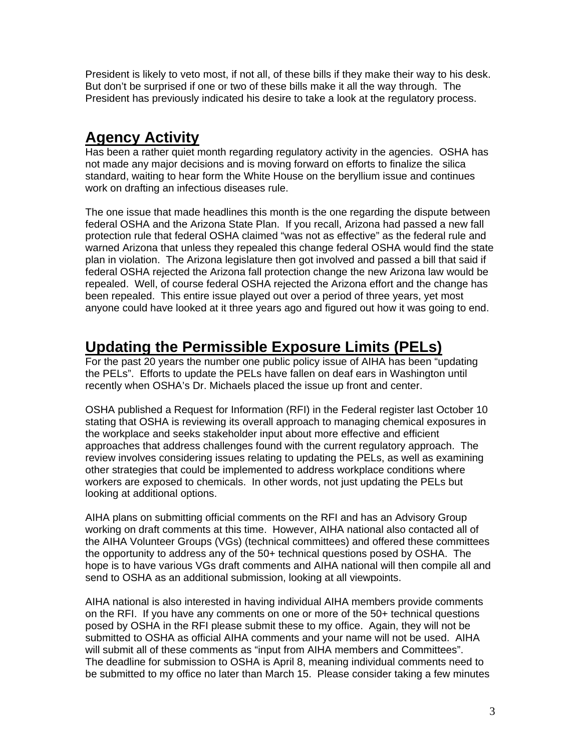President is likely to veto most, if not all, of these bills if they make their way to his desk. But don't be surprised if one or two of these bills make it all the way through. The President has previously indicated his desire to take a look at the regulatory process.

## **Agency Activity**

Has been a rather quiet month regarding regulatory activity in the agencies. OSHA has not made any major decisions and is moving forward on efforts to finalize the silica standard, waiting to hear form the White House on the beryllium issue and continues work on drafting an infectious diseases rule.

The one issue that made headlines this month is the one regarding the dispute between federal OSHA and the Arizona State Plan. If you recall, Arizona had passed a new fall protection rule that federal OSHA claimed "was not as effective" as the federal rule and warned Arizona that unless they repealed this change federal OSHA would find the state plan in violation. The Arizona legislature then got involved and passed a bill that said if federal OSHA rejected the Arizona fall protection change the new Arizona law would be repealed. Well, of course federal OSHA rejected the Arizona effort and the change has been repealed. This entire issue played out over a period of three years, yet most anyone could have looked at it three years ago and figured out how it was going to end.

## **Updating the Permissible Exposure Limits (PELs)**

For the past 20 years the number one public policy issue of AIHA has been "updating the PELs". Efforts to update the PELs have fallen on deaf ears in Washington until recently when OSHA's Dr. Michaels placed the issue up front and center.

OSHA published a Request for Information (RFI) in the Federal register last October 10 stating that OSHA is reviewing its overall approach to managing chemical exposures in the workplace and seeks stakeholder input about more effective and efficient approaches that address challenges found with the current regulatory approach. The review involves considering issues relating to updating the PELs, as well as examining other strategies that could be implemented to address workplace conditions where workers are exposed to chemicals. In other words, not just updating the PELs but looking at additional options.

AIHA plans on submitting official comments on the RFI and has an Advisory Group working on draft comments at this time. However, AIHA national also contacted all of the AIHA Volunteer Groups (VGs) (technical committees) and offered these committees the opportunity to address any of the 50+ technical questions posed by OSHA. The hope is to have various VGs draft comments and AIHA national will then compile all and send to OSHA as an additional submission, looking at all viewpoints.

AIHA national is also interested in having individual AIHA members provide comments on the RFI. If you have any comments on one or more of the 50+ technical questions posed by OSHA in the RFI please submit these to my office. Again, they will not be submitted to OSHA as official AIHA comments and your name will not be used. AIHA will submit all of these comments as "input from AIHA members and Committees". The deadline for submission to OSHA is April 8, meaning individual comments need to be submitted to my office no later than March 15. Please consider taking a few minutes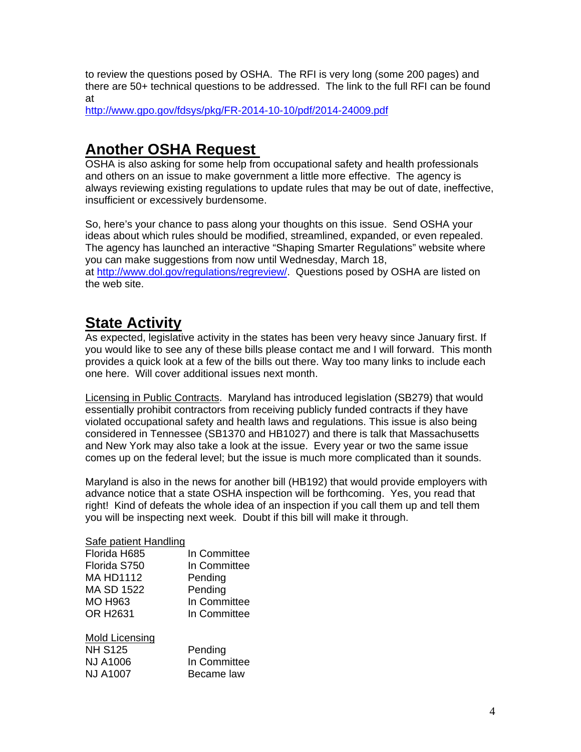to review the questions posed by OSHA. The RFI is very long (some 200 pages) and there are 50+ technical questions to be addressed. The link to the full RFI can be found at

http://www.gpo.gov/fdsys/pkg/FR-2014-10-10/pdf/2014-24009.pdf

## **Another OSHA Request**

OSHA is also asking for some help from occupational safety and health professionals and others on an issue to make government a little more effective. The agency is always reviewing existing regulations to update rules that may be out of date, ineffective, insufficient or excessively burdensome.

So, here's your chance to pass along your thoughts on this issue. Send OSHA your ideas about which rules should be modified, streamlined, expanded, or even repealed. The agency has launched an interactive "Shaping Smarter Regulations" website where you can make suggestions from now until Wednesday, March 18, at http://www.dol.gov/regulations/regreview/. Questions posed by OSHA are listed on the web site.

### **State Activity**

As expected, legislative activity in the states has been very heavy since January first. If you would like to see any of these bills please contact me and I will forward. This month provides a quick look at a few of the bills out there. Way too many links to include each one here. Will cover additional issues next month.

Licensing in Public Contracts. Maryland has introduced legislation (SB279) that would essentially prohibit contractors from receiving publicly funded contracts if they have violated occupational safety and health laws and regulations. This issue is also being considered in Tennessee (SB1370 and HB1027) and there is talk that Massachusetts and New York may also take a look at the issue. Every year or two the same issue comes up on the federal level; but the issue is much more complicated than it sounds.

Maryland is also in the news for another bill (HB192) that would provide employers with advance notice that a state OSHA inspection will be forthcoming. Yes, you read that right! Kind of defeats the whole idea of an inspection if you call them up and tell them you will be inspecting next week. Doubt if this bill will make it through.

#### Safe patient Handling

| Florida H685      | In Committee |
|-------------------|--------------|
| Florida S750      | In Committee |
| <b>MA HD1112</b>  | Pending      |
| <b>MA SD 1522</b> | Pending      |
| <b>MO H963</b>    | In Committee |
| <b>OR H2631</b>   | In Committee |

| Pending      |
|--------------|
| In Committee |
| Became law   |
|              |